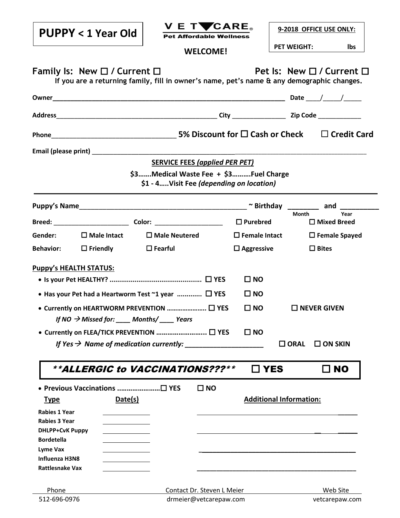| <b>PUPPY &lt; 1 Year Old</b>                                                                                                         | V E TVCARE.<br><b>Pet Affordable Wellness</b> |                         | 9-2018 OFFICE USE ONLY:                    |  |  |  |
|--------------------------------------------------------------------------------------------------------------------------------------|-----------------------------------------------|-------------------------|--------------------------------------------|--|--|--|
|                                                                                                                                      | <b>WELCOME!</b>                               |                         | <b>PET WEIGHT:</b><br>lbs                  |  |  |  |
| Family Is: New $\Box$ / Current $\Box$<br>If you are a returning family, fill in owner's name, pet's name & any demographic changes. |                                               |                         | Pet Is: New □ / Current □                  |  |  |  |
|                                                                                                                                      |                                               |                         |                                            |  |  |  |
|                                                                                                                                      |                                               |                         |                                            |  |  |  |
|                                                                                                                                      |                                               |                         |                                            |  |  |  |
|                                                                                                                                      |                                               |                         |                                            |  |  |  |
|                                                                                                                                      | <b>SERVICE FEES (applied PER PET)</b>         |                         |                                            |  |  |  |
|                                                                                                                                      | \$3Medical Waste Fee + \$3Fuel Charge         |                         |                                            |  |  |  |
|                                                                                                                                      | \$1 - 4Visit Fee (depending on location)      |                         |                                            |  |  |  |
|                                                                                                                                      |                                               |                         |                                            |  |  |  |
|                                                                                                                                      |                                               | $\Box$ Purebred         | Year<br><b>Month</b><br>$\Box$ Mixed Breed |  |  |  |
| Gender:<br>$\square$ Male Intact                                                                                                     | $\Box$ Male Neutered                          | $\square$ Female Intact | $\square$ Female Spayed                    |  |  |  |
| $\Box$ Friendly<br><b>Behavior:</b>                                                                                                  | $\square$ Fearful                             | $\Box$ Aggressive       | $\Box$ Bites                               |  |  |  |
|                                                                                                                                      |                                               |                         |                                            |  |  |  |
| <b>Puppy's HEALTH STATUS:</b>                                                                                                        |                                               | $\square$ NO            |                                            |  |  |  |
| • Has your Pet had a Heartworm Test $\sim$ 1 year $\Box$ YES                                                                         |                                               | $\square$ NO            |                                            |  |  |  |
|                                                                                                                                      |                                               |                         |                                            |  |  |  |
| ● Currently on HEARTWORM PREVENTION  □ YES<br>If NO $\rightarrow$ Missed for: ____ Months/ ____ Years                                |                                               | $\square$ NO            | $\Box$ NEVER GIVEN                         |  |  |  |
| ● Currently on FLEA/TICK PREVENTION  □ YES                                                                                           |                                               | $\square$ NO            |                                            |  |  |  |
|                                                                                                                                      |                                               |                         | $\Box$ ORAL                                |  |  |  |
|                                                                                                                                      |                                               |                         | $\square$ ON SKIN                          |  |  |  |
| **ALLERGIC to VACCINATIONS???**                                                                                                      |                                               | ]YES                    | $\square$ NO                               |  |  |  |
|                                                                                                                                      |                                               |                         |                                            |  |  |  |
| • Previous Vaccinations □ YES                                                                                                        | $\square$ NO                                  |                         |                                            |  |  |  |
| Date(s)<br><u>Type</u>                                                                                                               |                                               |                         | <b>Additional Information:</b>             |  |  |  |
| <b>Rabies 1 Year</b>                                                                                                                 |                                               |                         |                                            |  |  |  |
| <b>Rabies 3 Year</b>                                                                                                                 |                                               |                         |                                            |  |  |  |
| <b>DHLPP+CvK Puppy</b>                                                                                                               |                                               |                         |                                            |  |  |  |
| <b>Bordetella</b>                                                                                                                    |                                               |                         |                                            |  |  |  |
| Lyme Vax                                                                                                                             |                                               |                         |                                            |  |  |  |
| <b>Influenza H3N8</b><br><b>Rattlesnake Vax</b>                                                                                      |                                               |                         |                                            |  |  |  |
|                                                                                                                                      |                                               |                         |                                            |  |  |  |
| Phone                                                                                                                                | Contact Dr. Steven L Meier                    |                         | Web Site                                   |  |  |  |
| 512-696-0976                                                                                                                         | drmeier@vetcarepaw.com<br>vetcarepaw.com      |                         |                                            |  |  |  |